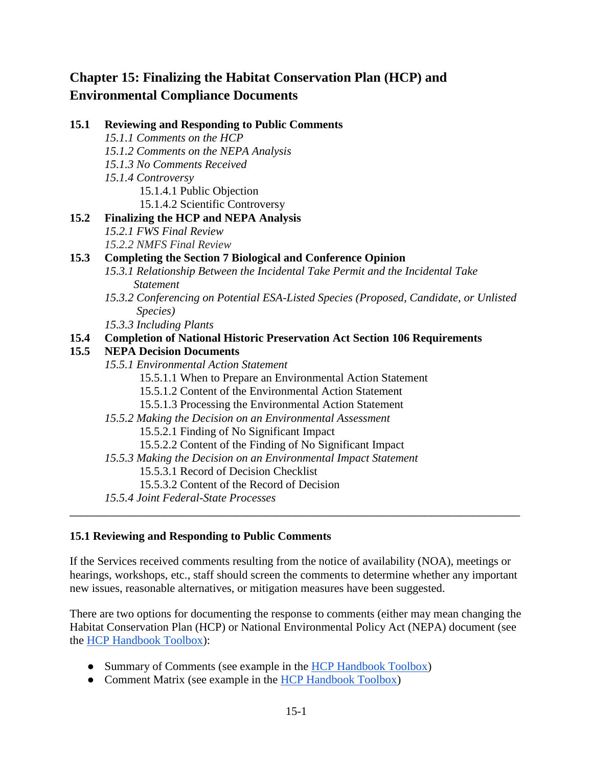# **Chapter 15: Finalizing the Habitat Conservation Plan (HCP) and Environmental Compliance Documents**

**15.1 Reviewing and Responding to Public Comments**

*15.1.1 Comments on the HCP*

|      | 15.1.2 Comments on the NEPA Analysis                                                  |
|------|---------------------------------------------------------------------------------------|
|      | 15.1.3 No Comments Received                                                           |
|      | 15.1.4 Controversy                                                                    |
|      | 15.1.4.1 Public Objection                                                             |
|      | 15.1.4.2 Scientific Controversy                                                       |
| 15.2 | <b>Finalizing the HCP and NEPA Analysis</b>                                           |
|      | 15.2.1 FWS Final Review                                                               |
|      | 15.2.2 NMFS Final Review                                                              |
| 15.3 | <b>Completing the Section 7 Biological and Conference Opinion</b>                     |
|      | 15.3.1 Relationship Between the Incidental Take Permit and the Incidental Take        |
|      | <b>Statement</b>                                                                      |
|      | 15.3.2 Conferencing on Potential ESA-Listed Species (Proposed, Candidate, or Unlisted |
|      | Species)                                                                              |
|      | 15.3.3 Including Plants                                                               |
| 15.4 | <b>Completion of National Historic Preservation Act Section 106 Requirements</b>      |
| 15.5 | <b>NEPA Decision Documents</b>                                                        |
|      | 15.5.1 Environmental Action Statement                                                 |
|      | 15.5.1.1 When to Prepare an Environmental Action Statement                            |
|      | 15.5.1.2 Content of the Environmental Action Statement                                |
|      | 15.5.1.3 Processing the Environmental Action Statement                                |
|      | 15.5.2 Making the Decision on an Environmental Assessment                             |
|      | 15.5.2.1 Finding of No Significant Impact                                             |
|      | 15.5.2.2 Content of the Finding of No Significant Impact                              |
|      | 15.5.3 Making the Decision on an Environmental Impact Statement                       |
|      | 15.5.3.1 Record of Decision Checklist                                                 |
|      | 15.5.3.2 Content of the Record of Decision                                            |
|      | 15.5.4 Joint Federal-State Processes                                                  |
|      |                                                                                       |

#### **15.1 Reviewing and Responding to Public Comments**

If the Services received comments resulting from the notice of availability (NOA), meetings or hearings, workshops, etc., staff should screen the comments to determine whether any important new issues, reasonable alternatives, or mitigation measures have been suggested.

There are two options for documenting the response to comments (either may mean changing the Habitat Conservation Plan (HCP) or National Environmental Policy Act (NEPA) document (see the [HCP Handbook Toolbox\)](https://www.fws.gov/endangered/what-we-do/hcp-handbook-toolbox.html#Ch15):

- Summary of Comments (see example in the [HCP Handbook Toolbox\)](https://www.fws.gov/endangered/what-we-do/hcp-handbook-toolbox.html#Ch15)
- Comment Matrix (see example in the [HCP Handbook Toolbox\)](https://www.fws.gov/endangered/what-we-do/hcp-handbook-toolbox.html#Ch15)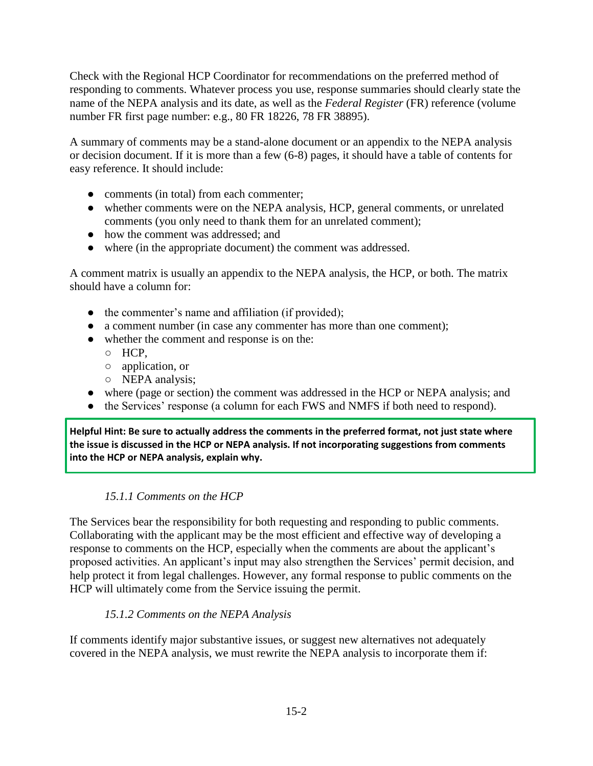Check with the Regional HCP Coordinator for recommendations on the preferred method of responding to comments. Whatever process you use, response summaries should clearly state the name of the NEPA analysis and its date, as well as the *Federal Register* (FR) reference (volume number FR first page number: e.g., 80 FR 18226, 78 FR 38895).

A summary of comments may be a stand-alone document or an appendix to the NEPA analysis or decision document. If it is more than a few (6-8) pages, it should have a table of contents for easy reference. It should include:

- comments (in total) from each commenter;
- whether comments were on the NEPA analysis, HCP, general comments, or unrelated comments (you only need to thank them for an unrelated comment);
- how the comment was addressed; and
- where (in the appropriate document) the comment was addressed.

A comment matrix is usually an appendix to the NEPA analysis, the HCP, or both. The matrix should have a column for:

- the commenter's name and affiliation (if provided);
- a comment number (in case any commenter has more than one comment);
- whether the comment and response is on the:
	- HCP,
	- application, or
	- NEPA analysis;
- where (page or section) the comment was addressed in the HCP or NEPA analysis; and
- the Services' response (a column for each FWS and NMFS if both need to respond).

**Helpful Hint: Be sure to actually address the comments in the preferred format, not just state where the issue is discussed in the HCP or NEPA analysis. If not incorporating suggestions from comments into the HCP or NEPA analysis, explain why.** 

### *15.1.1 Comments on the HCP*

The Services bear the responsibility for both requesting and responding to public comments. Collaborating with the applicant may be the most efficient and effective way of developing a response to comments on the HCP, especially when the comments are about the applicant's proposed activities. An applicant's input may also strengthen the Services' permit decision, and help protect it from legal challenges. However, any formal response to public comments on the HCP will ultimately come from the Service issuing the permit.

### *15.1.2 Comments on the NEPA Analysis*

If comments identify major substantive issues, or suggest new alternatives not adequately covered in the NEPA analysis, we must rewrite the NEPA analysis to incorporate them if: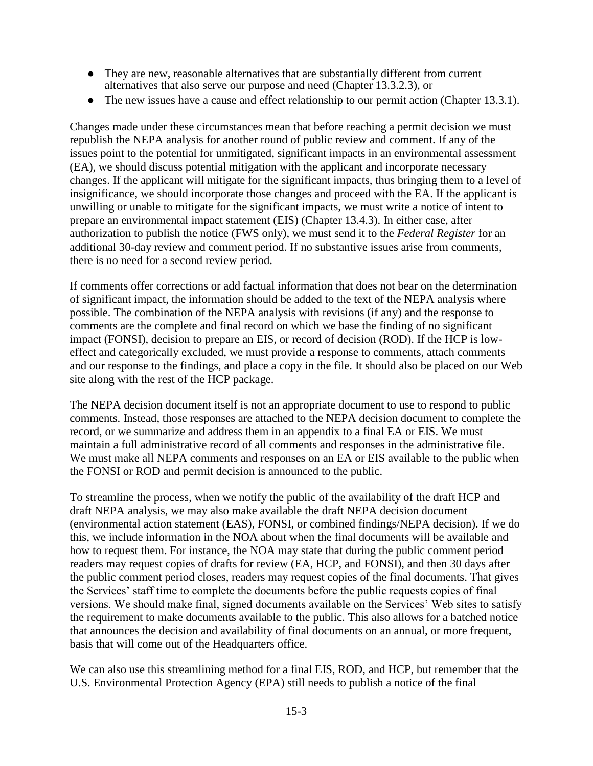- They are new, reasonable alternatives that are substantially different from current alternatives that also serve our purpose and need (Chapter 13.3.2.3), or
- The new issues have a cause and effect relationship to our permit action (Chapter 13.3.1).

Changes made under these circumstances mean that before reaching a permit decision we must republish the NEPA analysis for another round of public review and comment. If any of the issues point to the potential for unmitigated, significant impacts in an environmental assessment (EA), we should discuss potential mitigation with the applicant and incorporate necessary changes. If the applicant will mitigate for the significant impacts, thus bringing them to a level of insignificance, we should incorporate those changes and proceed with the EA. If the applicant is unwilling or unable to mitigate for the significant impacts, we must write a notice of intent to prepare an environmental impact statement (EIS) (Chapter 13.4.3). In either case, after authorization to publish the notice (FWS only), we must send it to the *Federal Register* for an additional 30-day review and comment period. If no substantive issues arise from comments, there is no need for a second review period.

If comments offer corrections or add factual information that does not bear on the determination of significant impact, the information should be added to the text of the NEPA analysis where possible. The combination of the NEPA analysis with revisions (if any) and the response to comments are the complete and final record on which we base the finding of no significant impact (FONSI), decision to prepare an EIS, or record of decision (ROD). If the HCP is loweffect and categorically excluded, we must provide a response to comments, attach comments and our response to the findings, and place a copy in the file. It should also be placed on our Web site along with the rest of the HCP package.

The NEPA decision document itself is not an appropriate document to use to respond to public comments. Instead, those responses are attached to the NEPA decision document to complete the record, or we summarize and address them in an appendix to a final EA or EIS. We must maintain a full administrative record of all comments and responses in the administrative file. We must make all NEPA comments and responses on an EA or EIS available to the public when the FONSI or ROD and permit decision is announced to the public.

To streamline the process, when we notify the public of the availability of the draft HCP and draft NEPA analysis, we may also make available the draft NEPA decision document (environmental action statement (EAS), FONSI, or combined findings/NEPA decision). If we do this, we include information in the NOA about when the final documents will be available and how to request them. For instance, the NOA may state that during the public comment period readers may request copies of drafts for review (EA, HCP, and FONSI), and then 30 days after the public comment period closes, readers may request copies of the final documents. That gives the Services' staff time to complete the documents before the public requests copies of final versions. We should make final, signed documents available on the Services' Web sites to satisfy the requirement to make documents available to the public. This also allows for a batched notice that announces the decision and availability of final documents on an annual, or more frequent, basis that will come out of the Headquarters office.

We can also use this streamlining method for a final EIS, ROD, and HCP, but remember that the U.S. Environmental Protection Agency (EPA) still needs to publish a notice of the final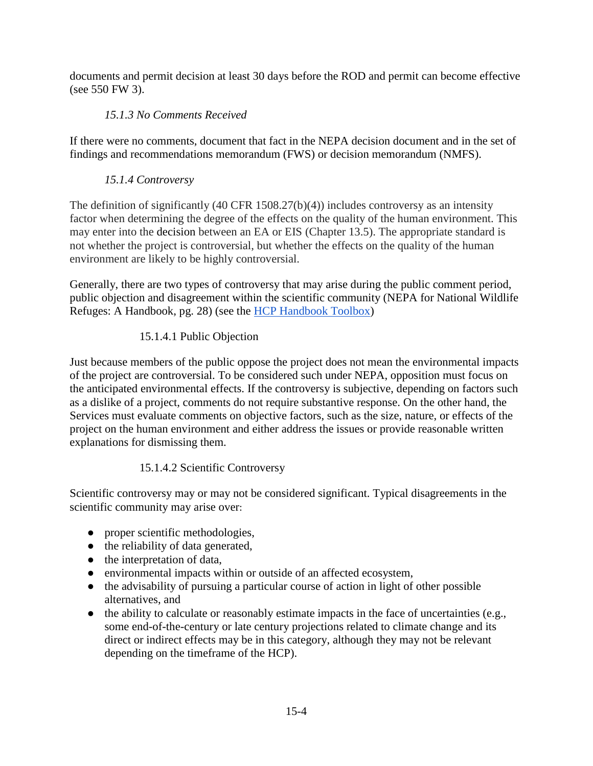documents and permit decision at least 30 days before the ROD and permit can become effective (see 550 FW 3).

### *15.1.3 No Comments Received*

If there were no comments, document that fact in the NEPA decision document and in the set of findings and recommendations memorandum (FWS) or decision memorandum (NMFS).

### *15.1.4 Controversy*

The definition of significantly (40 CFR 1508.27(b)(4)) includes controversy as an intensity factor when determining the degree of the effects on the quality of the human environment. This may enter into the decision between an EA or EIS (Chapter 13.5). The appropriate standard is not whether the project is controversial, but whether the effects on the quality of the human environment are likely to be highly controversial.

Generally, there are two types of controversy that may arise during the public comment period, public objection and disagreement within the scientific community (NEPA for National Wildlife Refuges: A Handbook, pg. 28) (see the [HCP Handbook Toolbox\)](https://www.fws.gov/endangered/what-we-do/hcp-handbook-toolbox.html#Ch15)

### 15.1.4.1 Public Objection

Just because members of the public oppose the project does not mean the environmental impacts of the project are controversial. To be considered such under NEPA, opposition must focus on the anticipated environmental effects. If the controversy is subjective, depending on factors such as a dislike of a project, comments do not require substantive response. On the other hand, the Services must evaluate comments on objective factors, such as the size, nature, or effects of the project on the human environment and either address the issues or provide reasonable written explanations for dismissing them.

### 15.1.4.2 Scientific Controversy

Scientific controversy may or may not be considered significant. Typical disagreements in the scientific community may arise over:

- proper scientific methodologies,
- the reliability of data generated,
- the interpretation of data,
- environmental impacts within or outside of an affected ecosystem,
- the advisability of pursuing a particular course of action in light of other possible alternatives, and
- $\bullet$  the ability to calculate or reasonably estimate impacts in the face of uncertainties (e.g., some end-of-the-century or late century projections related to climate change and its direct or indirect effects may be in this category, although they may not be relevant depending on the timeframe of the HCP).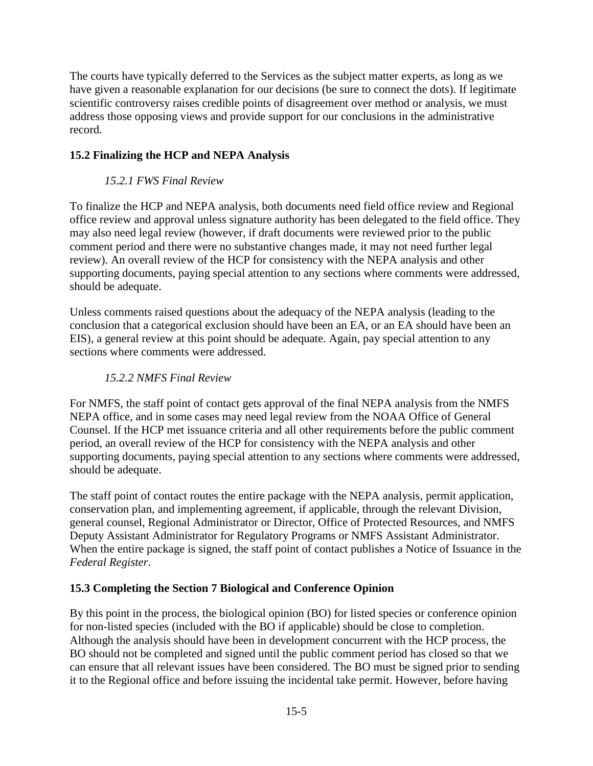The courts have typically deferred to the Services as the subject matter experts, as long as we have given a reasonable explanation for our decisions (be sure to connect the dots). If legitimate scientific controversy raises credible points of disagreement over method or analysis, we must address those opposing views and provide support for our conclusions in the administrative record.

# **15.2 Finalizing the HCP and NEPA Analysis**

### *15.2.1 FWS Final Review*

To finalize the HCP and NEPA analysis, both documents need field office review and Regional office review and approval unless signature authority has been delegated to the field office. They may also need legal review (however, if draft documents were reviewed prior to the public comment period and there were no substantive changes made, it may not need further legal review). An overall review of the HCP for consistency with the NEPA analysis and other supporting documents, paying special attention to any sections where comments were addressed, should be adequate.

Unless comments raised questions about the adequacy of the NEPA analysis (leading to the conclusion that a categorical exclusion should have been an EA, or an EA should have been an EIS), a general review at this point should be adequate. Again, pay special attention to any sections where comments were addressed.

### *15.2.2 NMFS Final Review*

For NMFS, the staff point of contact gets approval of the final NEPA analysis from the NMFS NEPA office, and in some cases may need legal review from the NOAA Office of General Counsel. If the HCP met issuance criteria and all other requirements before the public comment period, an overall review of the HCP for consistency with the NEPA analysis and other supporting documents, paying special attention to any sections where comments were addressed, should be adequate.

The staff point of contact routes the entire package with the NEPA analysis, permit application, conservation plan, and implementing agreement, if applicable, through the relevant Division, general counsel, Regional Administrator or Director, Office of Protected Resources, and NMFS Deputy Assistant Administrator for Regulatory Programs or NMFS Assistant Administrator. When the entire package is signed, the staff point of contact publishes a Notice of Issuance in the *Federal Register*.

### **15.3 Completing the Section 7 Biological and Conference Opinion**

By this point in the process, the biological opinion (BO) for listed species or conference opinion for non-listed species (included with the BO if applicable) should be close to completion. Although the analysis should have been in development concurrent with the HCP process, the BO should not be completed and signed until the public comment period has closed so that we can ensure that all relevant issues have been considered. The BO must be signed prior to sending it to the Regional office and before issuing the incidental take permit. However, before having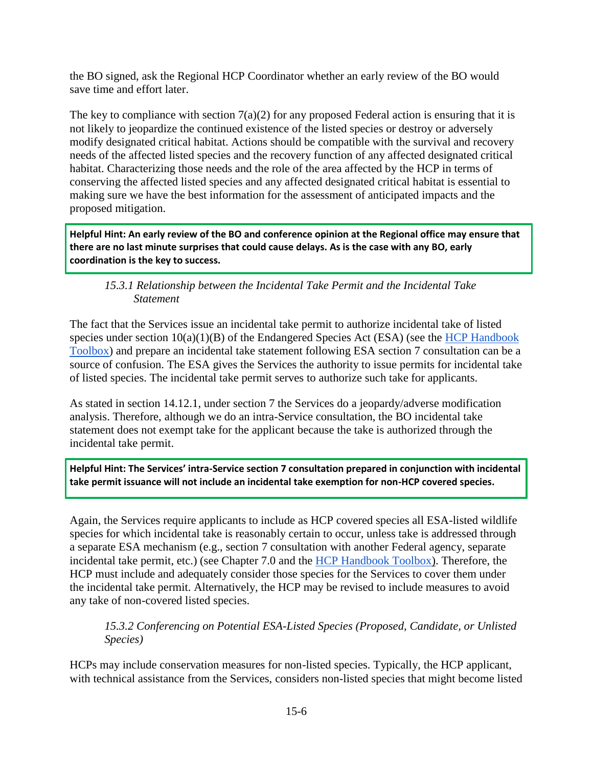the BO signed, ask the Regional HCP Coordinator whether an early review of the BO would save time and effort later.

The key to compliance with section  $7(a)(2)$  for any proposed Federal action is ensuring that it is not likely to jeopardize the continued existence of the listed species or destroy or adversely modify designated critical habitat. Actions should be compatible with the survival and recovery needs of the affected listed species and the recovery function of any affected designated critical habitat. Characterizing those needs and the role of the area affected by the HCP in terms of conserving the affected listed species and any affected designated critical habitat is essential to making sure we have the best information for the assessment of anticipated impacts and the proposed mitigation.

**Helpful Hint: An early review of the BO and conference opinion at the Regional office may ensure that there are no last minute surprises that could cause delays. As is the case with any BO, early coordination is the key to success.** 

*15.3.1 Relationship between the Incidental Take Permit and the Incidental Take Statement* 

The fact that the Services issue an incidental take permit to authorize incidental take of listed species under section  $10(a)(1)(B)$  of the Endangered Species Act (ESA) (see the HCP Handbook [Toolbox\)](https://www.fws.gov/endangered/what-we-do/hcp-handbook-toolbox.html#Ch15) and prepare an incidental take statement following ESA section 7 consultation can be a source of confusion. The ESA gives the Services the authority to issue permits for incidental take of listed species. The incidental take permit serves to authorize such take for applicants.

As stated in section 14.12.1, under section 7 the Services do a jeopardy/adverse modification analysis. Therefore, although we do an intra-Service consultation, the BO incidental take statement does not exempt take for the applicant because the take is authorized through the incidental take permit.

l

**Helpful Hint: The Services' intra-Service section 7 consultation prepared in conjunction with incidental take permit issuance will not include an incidental take exemption for non-HCP covered species.**

Again, the Services require applicants to include as HCP covered species all ESA-listed wildlife species for which incidental take is reasonably certain to occur, unless take is addressed through a separate ESA mechanism (e.g., section 7 consultation with another Federal agency, separate incidental take permit, etc.) (see Chapter 7.0 and the [HCP Handbook Toolbox\)](https://www.fws.gov/endangered/what-we-do/hcp-handbook-toolbox.html#Ch15). Therefore, the HCP must include and adequately consider those species for the Services to cover them under the incidental take permit. Alternatively, the HCP may be revised to include measures to avoid any take of non-covered listed species.

*15.3.2 Conferencing on Potential ESA-Listed Species (Proposed, Candidate, or Unlisted Species)* 

HCPs may include conservation measures for non-listed species. Typically, the HCP applicant, with technical assistance from the Services, considers non-listed species that might become listed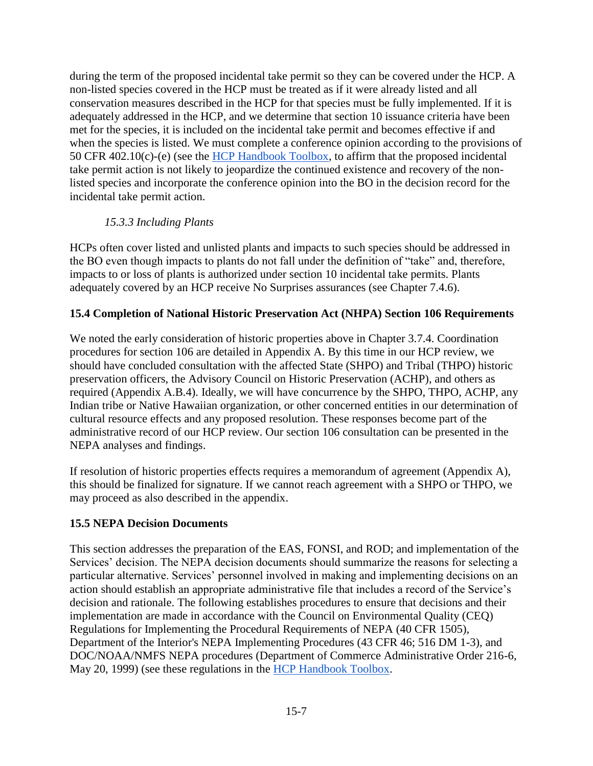during the term of the proposed incidental take permit so they can be covered under the HCP. A non-listed species covered in the HCP must be treated as if it were already listed and all conservation measures described in the HCP for that species must be fully implemented. If it is adequately addressed in the HCP, and we determine that section 10 issuance criteria have been met for the species, it is included on the incidental take permit and becomes effective if and when the species is listed. We must complete a conference opinion according to the provisions of 50 CFR 402.10(c)-(e) (see the [HCP Handbook Toolbox,](https://www.fws.gov/endangered/what-we-do/hcp-handbook-toolbox.html#Ch15) to affirm that the proposed incidental take permit action is not likely to jeopardize the continued existence and recovery of the nonlisted species and incorporate the conference opinion into the BO in the decision record for the incidental take permit action.

### *15.3.3 Including Plants*

HCPs often cover listed and unlisted plants and impacts to such species should be addressed in the BO even though impacts to plants do not fall under the definition of "take" and, therefore, impacts to or loss of plants is authorized under section 10 incidental take permits. Plants adequately covered by an HCP receive No Surprises assurances (see Chapter 7.4.6).

### **15.4 Completion of National Historic Preservation Act (NHPA) Section 106 Requirements**

We noted the early consideration of historic properties above in Chapter 3.7.4. Coordination procedures for section 106 are detailed in Appendix A. By this time in our HCP review, we should have concluded consultation with the affected State (SHPO) and Tribal (THPO) historic preservation officers, the Advisory Council on Historic Preservation (ACHP), and others as required (Appendix A.B.4). Ideally, we will have concurrence by the SHPO, THPO, ACHP, any Indian tribe or Native Hawaiian organization, or other concerned entities in our determination of cultural resource effects and any proposed resolution. These responses become part of the administrative record of our HCP review. Our section 106 consultation can be presented in the NEPA analyses and findings.

If resolution of historic properties effects requires a memorandum of agreement (Appendix A), this should be finalized for signature. If we cannot reach agreement with a SHPO or THPO, we may proceed as also described in the appendix.

### **15.5 NEPA Decision Documents**

This section addresses the preparation of the EAS, FONSI, and ROD; and implementation of the Services' decision. The NEPA decision documents should summarize the reasons for selecting a particular alternative. Services' personnel involved in making and implementing decisions on an action should establish an appropriate administrative file that includes a record of the Service's decision and rationale. The following establishes procedures to ensure that decisions and their implementation are made in accordance with the Council on Environmental Quality (CEQ) Regulations for Implementing the Procedural Requirements of NEPA (40 CFR 1505), Department of the Interior's NEPA Implementing Procedures (43 CFR 46; 516 DM 1-3), and DOC/NOAA/NMFS NEPA procedures (Department of Commerce Administrative Order 216-6, May 20, 1999) (see these regulations in the [HCP Handbook Toolbox.](https://www.fws.gov/endangered/what-we-do/hcp-handbook-toolbox.html#Ch15)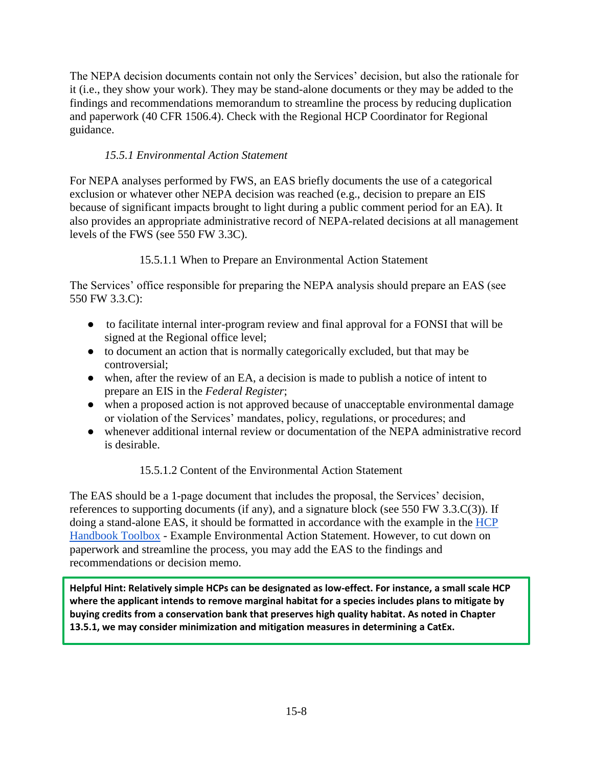The NEPA decision documents contain not only the Services' decision, but also the rationale for it (i.e., they show your work). They may be stand-alone documents or they may be added to the findings and recommendations memorandum to streamline the process by reducing duplication and paperwork (40 CFR 1506.4). Check with the Regional HCP Coordinator for Regional guidance.

# *15.5.1 Environmental Action Statement*

For NEPA analyses performed by FWS, an EAS briefly documents the use of a categorical exclusion or whatever other NEPA decision was reached (e.g., decision to prepare an EIS because of significant impacts brought to light during a public comment period for an EA). It also provides an appropriate administrative record of NEPA-related decisions at all management levels of the FWS (see 550 FW 3.3C).

# 15.5.1.1 When to Prepare an Environmental Action Statement

The Services' office responsible for preparing the NEPA analysis should prepare an EAS (see 550 FW 3.3.C):

- to facilitate internal inter-program review and final approval for a FONSI that will be signed at the Regional office level;
- to document an action that is normally categorically excluded, but that may be controversial;
- when, after the review of an EA, a decision is made to publish a notice of intent to prepare an EIS in the *Federal Register*;
- when a proposed action is not approved because of unacceptable environmental damage or violation of the Services' mandates, policy, regulations, or procedures; and
- whenever additional internal review or documentation of the NEPA administrative record is desirable.

# 15.5.1.2 Content of the Environmental Action Statement

The EAS should be a 1-page document that includes the proposal, the Services' decision, references to supporting documents (if any), and a signature block (see 550 FW 3.3.C(3)). If doing a s[t](http://www.fws.gov/policy/E4550fw3.html)and-alone EAS, it should be formatted in accordance with the example in the HCP [Handbook Toolbox](https://www.fws.gov/endangered/what-we-do/hcp-handbook-toolbox.html#Ch15) - Example Environmental Action Statement. However, to cut down on paperwork and streamline the process, you may add the EAS to the findings and recommendations or decision memo.

**Helpful Hint: Relatively simple HCPs can be designated as low-effect. For instance, a small scale HCP where the applicant intends to remove marginal habitat for a species includes plans to mitigate by buying credits from a conservation bank that preserves high quality habitat. As noted in Chapter 13.5.1, we may consider minimization and mitigation measures in determining a CatEx.**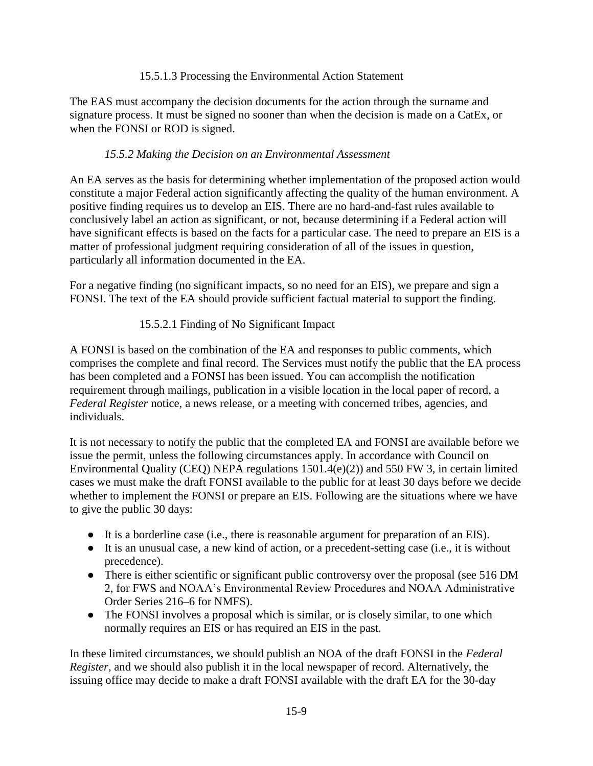#### 15.5.1.3 Processing the Environmental Action Statement

The EAS must accompany the decision documents for the action through the surname and signature process. It must be signed no sooner than when the decision is made on a CatEx, or when the FONSI or ROD is signed.

### *15.5.2 Making the Decision on an Environmental Assessment*

An EA serves as the basis for determining whether implementation of the proposed action would constitute a major Federal action significantly affecting the quality of the human environment. A positive finding requires us to develop an EIS. There are no hard-and-fast rules available to conclusively label an action as significant, or not, because determining if a Federal action will have significant effects is based on the facts for a particular case. The need to prepare an EIS is a matter of professional judgment requiring consideration of all of the issues in question, particularly all information documented in the EA.

For a negative finding (no significant impacts, so no need for an EIS), we prepare and sign a FONSI. The text of the EA should provide sufficient factual material to support the finding.

### 15.5.2.1 Finding of No Significant Impact

A FONSI is based on the combination of the EA and responses to public comments, which comprises the complete and final record. The Services must notify the public that the EA process has been completed and a FONSI has been issued. You can accomplish the notification requirement through mailings, publication in a visible location in the local paper of record, a *Federal Register* notice, a news release, or a meeting with concerned tribes, agencies, and individuals.

It is not necessary to notify the public that the completed EA and FONSI are available before we issue the permit, unless the following circumstances apply. In accordance with Council on Environmental Quality (CEQ) NEPA regulations 1501.4(e)(2)) and 550 FW 3, in certain limited cases we must make the draft FONSI available to the public for at least 30 days before we decide whether to implement the FONSI or prepare an EIS. Following are the situations where we have to give the public 30 days:

- It is a borderline case (i.e., there is reasonable argument for preparation of an EIS).
- It is an unusual case, a new kind of action, or a precedent-setting case (i.e., it is without precedence).
- There is either scientific or significant public controversy over the proposal (see 516 DM 2, for FWS and NOAA's Environmental Review Procedures and NOAA Administrative Order Series 216–6 for NMFS).
- The FONSI involves a proposal which is similar, or is closely similar, to one which normally requires an EIS or has required an EIS in the past.

In these limited circumstances, we should publish an NOA of the draft FONSI in the *Federal Register,* and we should also publish it in the local newspaper of record. Alternatively, the issuing office may decide to make a draft FONSI available with the draft EA for the 30-day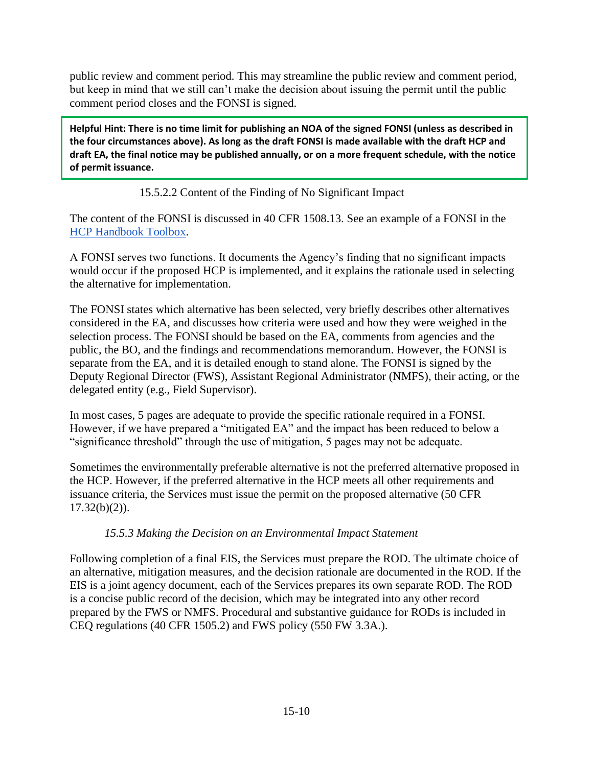public review and comment period. This may streamline the public review and comment period, but keep in mind that we still can't make the decision about issuing the permit until the public comment period closes and the FONSI is signed.

**Helpful Hint: There is no time limit for publishing an NOA of the signed FONSI (unless as described in the four circumstances above). As long as the draft FONSI is made available with the draft HCP and draft EA, the final notice may be published annually, or on a more frequent schedule, with the notice of permit issuance.**

### 15.5.2.2 Content of the Finding of No Significant Impact

The content of the FONSI is discussed in 40 CFR 1508.13. See an example of a FONSI in the [HCP Handbook Toolbox.](https://www.fws.gov/endangered/what-we-do/hcp-handbook-toolbox.html#Ch15)

A FONSI serves two functions. It documents the Agency's finding that no significant impacts would occur if the proposed HCP is implemented, and it explains the rationale used in selecting the alternative for implementation.

The FONSI states which alternative has been selected, very briefly describes other alternatives considered in the EA, and discusses how criteria were used and how they were weighed in the selection process. The FONSI should be based on the EA, comments from agencies and the public, the BO, and the findings and recommendations memorandum. However, the FONSI is separate from the EA, and it is detailed enough to stand alone. The FONSI is signed by the Deputy Regional Director (FWS), Assistant Regional Administrator (NMFS), their acting, or the delegated entity (e.g., Field Supervisor).

In most cases, 5 pages are adequate to provide the specific rationale required in a FONSI. However, if we have prepared a "mitigated EA" and the impact has been reduced to below a "significance threshold" through the use of mitigation, 5 pages may not be adequate.

Sometimes the environmentally preferable alternative is not the preferred alternative proposed in the HCP. However, if the preferred alternative in the HCP meets all other requirements and issuance criteria, the Services must issue the permit on the proposed alternative (50 CFR  $17.32(b)(2)$ ).

### *15.5.3 Making the Decision on an Environmental Impact Statement*

Following completion of a final EIS, the Services must prepare the ROD. The ultimate choice of an alternative, mitigation measures, and the decision rationale are documented in the ROD. If the EIS is a joint agency document, each of the Services prepares its own separate ROD. The ROD is a concise public record of the decision, which may be integrated into any other record prepared by the FWS or NMFS. Procedural and substantive guidance for RODs is included in CEQ regulations (40 CFR 1505.2) and FWS policy (550 FW 3.3A.).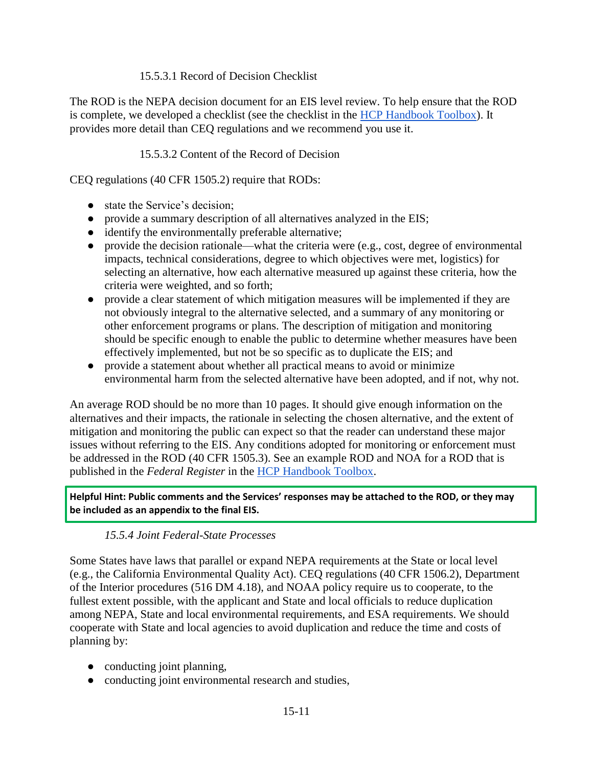### 15.5.3.1 Record of Decision Checklist

The ROD is the NEPA decision document for an EIS level review. To help ensure that the ROD is complete, we developed a checklist (see the checklist in the [HCP Handbook Toolbox\)](https://www.fws.gov/endangered/what-we-do/hcp-handbook-toolbox.html#Ch15). It provides more detail than CEQ regulations and we recommend you use it.

### 15.5.3.2 Content of the Record of Decision

CEQ regulations (40 CFR 1505.2) require that RODs:

- state the Service's decision;
- provide a summary description of all alternatives analyzed in the EIS;
- identify the environmentally preferable alternative;
- provide the decision rationale—what the criteria were (e.g., cost, degree of environmental impacts, technical considerations, degree to which objectives were met, logistics) for selecting an alternative, how each alternative measured up against these criteria, how the criteria were weighted, and so forth;
- provide a clear statement of which mitigation measures will be implemented if they are not obviously integral to the alternative selected, and a summary of any monitoring or other enforcement programs or plans. The description of mitigation and monitoring should be specific enough to enable the public to determine whether measures have been effectively implemented, but not be so specific as to duplicate the EIS; and
- provide a statement about whether all practical means to avoid or minimize environmental harm from the selected alternative have been adopted, and if not, why not.

An average ROD should be no more than 10 pages. It should give enough information on the alternatives and their impacts, the rationale in selecting the chosen alternative, and the extent of mitigation and monitoring the public can expect so that the reader can understand these major issues without referring to the EIS. Any conditions adopted for monitoring or enforcement must be addressed in the ROD (40 CFR 1505.3). See an example ROD and NOA for a ROD that is published in the *Federal Register* in the [HCP Handbook Toolbox.](https://www.fws.gov/endangered/what-we-do/hcp-handbook-toolbox.html#Ch15)

**Helpful Hint: Public comments and the Services' responses may be attached to the ROD, or they may be included as an appendix to the final EIS.** 

### *15.5.4 Joint Federal-State Processes*

Some States have laws that parallel or expand NEPA requirements at the State or local level (e.g., the California Environmental Quality Act). CEQ regulations (40 CFR 1506.2), Department of the Interior procedures (516 DM 4.18), and NOAA policy require us to cooperate, to the fullest extent possible, with the applicant and State and local officials to reduce duplication among NEPA, State and local environmental requirements, and ESA requirements. We should cooperate with State and local agencies to avoid duplication and reduce the time and costs of planning by:

- conducting joint planning,
- conducting joint environmental research and studies,